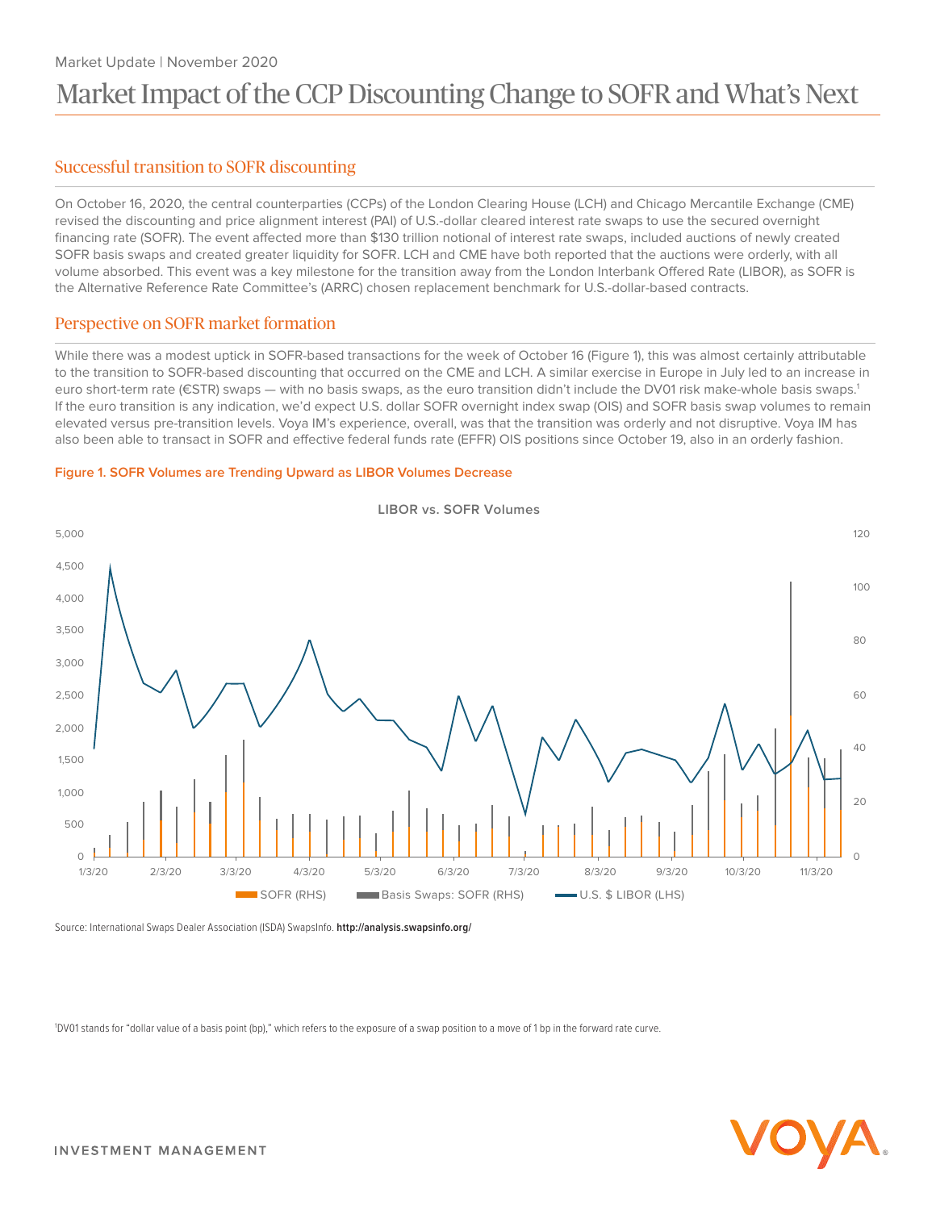# Market Update | November 2020 Market Impact of the CCP Discounting Change to SOFR and What's Next

# Successful transition to SOFR discounting

On October 16, 2020, the central counterparties (CCPs) of the London Clearing House (LCH) and Chicago Mercantile Exchange (CME) revised the discounting and price alignment interest (PAI) of U.S.-dollar cleared interest rate swaps to use the secured overnight financing rate (SOFR). The event affected more than \$130 trillion notional of interest rate swaps, included auctions of newly created SOFR basis swaps and created greater liquidity for SOFR. LCH and CME have both reported that the auctions were orderly, with all volume absorbed. This event was a key milestone for the transition away from the London Interbank Offered Rate (LIBOR), as SOFR is the Alternative Reference Rate Committee's (ARRC) chosen replacement benchmark for U.S.-dollar-based contracts.

# Perspective on SOFR market formation

While there was a modest uptick in SOFR-based transactions for the week of October 16 (Figure 1), this was almost certainly attributable to the transition to SOFR-based discounting that occurred on the CME and LCH. A similar exercise in Europe in July led to an increase in euro short-term rate (€STR) swaps — with no basis swaps, as the euro transition didn't include the DV01 risk make-whole basis swaps.<sup>1</sup> If the euro transition is any indication, we'd expect U.S. dollar SOFR overnight index swap (OIS) and SOFR basis swap volumes to remain elevated versus pre-transition levels. Voya IM's experience, overall, was that the transition was orderly and not disruptive. Voya IM has also been able to transact in SOFR and effective federal funds rate (EFFR) OIS positions since October 19, also in an orderly fashion.

## **Figure 1. SOFR Volumes are Trending Upward as LIBOR Volumes Decrease**



Source: International Swaps Dealer Association (ISDA) SwapsInfo. **<http://analysis.swapsinfo.org/>**

1 DV01 stands for "dollar value of a basis point (bp)," which refers to the exposure of a swap position to a move of 1 bp in the forward rate curve.